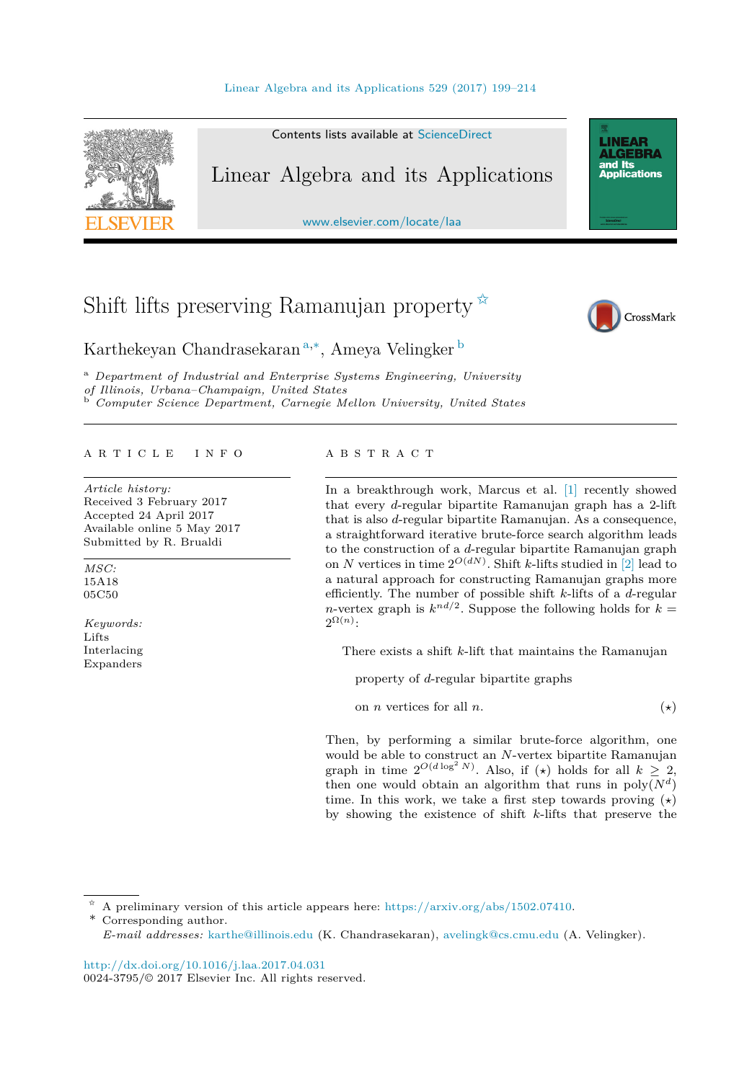

Contents lists available at [ScienceDirect](http://www.ScienceDirect.com/)

# Linear Algebra and its Applications

[www.elsevier.com/locate/laa](http://www.elsevier.com/locate/laa)

# Shift lifts preserving Ramanujan property  $\overline{x}$



**LINEAR<br>ALGEBRA** and Its ana na<br>Applications

Karthekeyan Chandrasekaran <sup>a</sup>*,*∗, Ameya Velingker <sup>b</sup>

<sup>a</sup> *Department of Industrial and Enterprise Systems Engineering, University of Il linois, Urbana–Champaign, United States* <sup>b</sup> *Computer Science Department, Carnegie Mel lon University, United States*

#### A R T I C L E I N F O A B S T R A C T

*Article history:* Received 3 February 2017 Accepted 24 April 2017 Available online 5 May 2017 Submitted by R. Brualdi

*MSC:* 15A18 05C50

*Keywords:* Lifts Interlacing Expanders

In a breakthrough work, Marcus et al. [\[1\]](#page-14-0) recently showed that every *d*-regular bipartite Ramanujan graph has a 2-lift that is also *d*-regular bipartite Ramanujan. As a consequence, a straightforward iterative brute-force search algorithm leads to the construction of a *d*-regular bipartite Ramanujan graph on *N* vertices in time  $2^{O(dN)}$ . Shift *k*-lifts studied in [\[2\]](#page-14-0) lead to a natural approach for constructing Ramanujan graphs more efficiently. The number of possible shift *k*-lifts of a *d*-regular *n*-vertex graph is  $k^{nd/2}$ . Suppose the following holds for  $k =$  $2^{\Omega(n)}$ :

There exists a shift *k*-lift that maintains the Ramanujan

property of *d*-regular bipartite graphs

on *n* vertices for all *n*. (*-* $(\star)$ 

Then, by performing a similar brute-force algorithm, one would be able to construct an *N*-vertex bipartite Ramanujan graph in time  $2^{O(d \log^2 N)}$ . Also, if (\*) holds for all  $k \geq 2$ , then one would obtain an algorithm that runs in  $poly(N<sup>d</sup>)$ time. In this work, we take a first step towards proving (*-*) by showing the existence of shift *k*-lifts that preserve the

✩ A preliminary version of this article appears here: <https://arxiv.org/abs/1502.07410>.

\* Corresponding author.

*E-mail addresses:* [karthe@illinois.edu](mailto:karthe@illinois.edu) (K. Chandrasekaran), [avelingk@cs.cmu.edu](mailto:avelingk@cs.cmu.edu) (A. Velingker).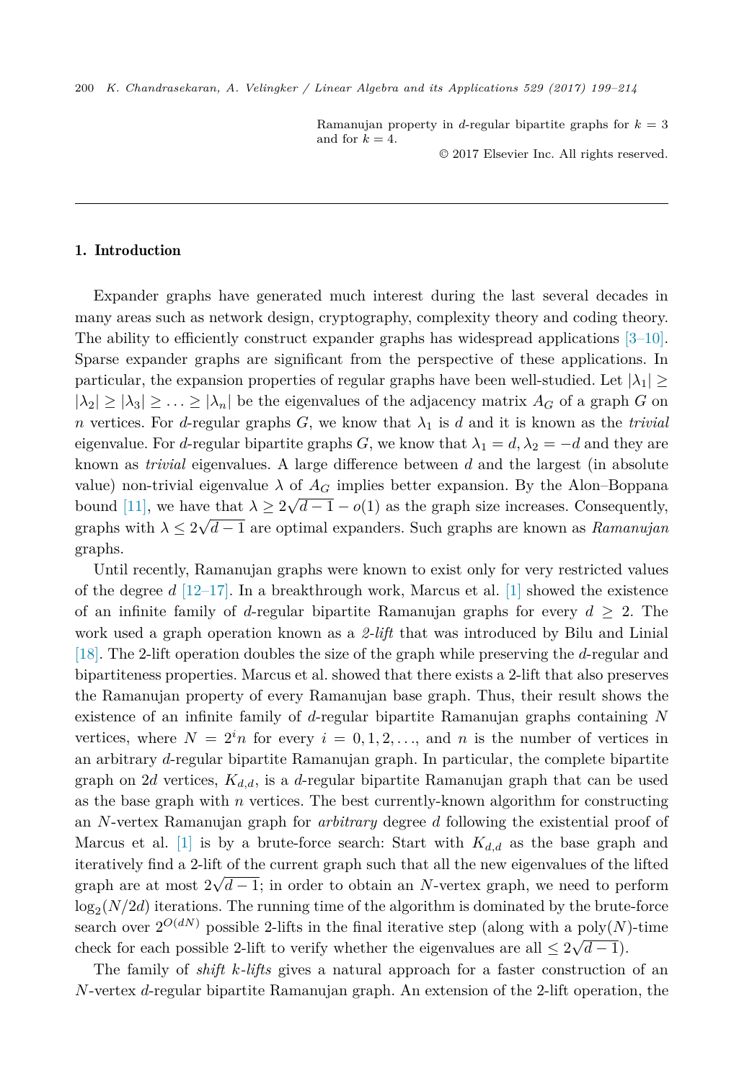Ramanujan property in *d*-regular bipartite graphs for  $k = 3$ and for  $k = 4$ .

© 2017 Elsevier Inc. All rights reserved.

## 1. Introduction

Expander graphs have generated much interest during the last several decades in many areas such as network design, cryptography, complexity theory and coding theory. The ability to efficiently construct expander graphs has widespread applications  $[3-10]$ . Sparse expander graphs are significant from the perspective of these applications. In particular, the expansion properties of regular graphs have been well-studied. Let  $|\lambda_1| \ge$  $|\lambda_2| \geq |\lambda_3| \geq \ldots \geq |\lambda_n|$  be the eigenvalues of the adjacency matrix  $A_G$  of a graph *G* on *n* vertices. For *d*-regular graphs *G*, we know that  $\lambda_1$  is *d* and it is known as the *trivial* eigenvalue. For *d*-regular bipartite graphs *G*, we know that  $\lambda_1 = d$ ,  $\lambda_2 = -d$  and they are known as *trivial* eigenvalues. A large difference between *d* and the largest (in absolute value) non-trivial eigenvalue  $\lambda$  of  $A_G$  implies better expansion. By the Alon–Boppana bound [\[11\],](#page-15-0) we have that  $\lambda \geq 2\sqrt{d-1} - o(1)$  as the graph size increases. Consequently, graphs with  $\lambda \leq 2\sqrt{d-1}$  are optimal expanders. Such graphs are known as *Ramanujan* graphs.

Until recently, Ramanujan graphs were known to exist only for very restricted values of the degree *d* [\[12–17\].](#page-15-0) In a breakthrough work, Marcus et al. [\[1\]](#page-14-0) showed the existence of an infinite family of *d*-regular bipartite Ramanujan graphs for every  $d \geq 2$ . The work used a graph operation known as a *2-lift* that was introduced by Bilu and Linial [\[18\].](#page-15-0) The 2-lift operation doubles the size of the graph while preserving the *d*-regular and bipartiteness properties. Marcus et al. showed that there exists a 2-lift that also preserves the Ramanujan property of every Ramanujan base graph. Thus, their result shows the existence of an infinite family of *d*-regular bipartite Ramanujan graphs containing *N* vertices, where  $N = 2^{i}n$  for every  $i = 0, 1, 2, \ldots$ , and *n* is the number of vertices in an arbitrary *d*-regular bipartite Ramanujan graph. In particular, the complete bipartite graph on 2*d* vertices, *Kd,d*, is a *d*-regular bipartite Ramanujan graph that can be used as the base graph with *n* vertices. The best currently-known algorithm for constructing an *N*-vertex Ramanujan graph for *arbitrary* degree *d* following the existential proof of Marcus et al. [\[1\]](#page-14-0) is by a brute-force search: Start with  $K_{d,d}$  as the base graph and iteratively find a 2-lift of the current graph such that all the new eigenvalues of the lifted graph are at most  $2\sqrt{d-1}$ ; in order to obtain an *N*-vertex graph, we need to perform  $\log_2(N/2d)$  iterations. The running time of the algorithm is dominated by the brute-force search over  $2^{O(dN)}$  possible 2-lifts in the final iterative step (along with a poly(N)-time check for each possible 2-lift to verify whether the eigenvalues are all  $\leq 2\sqrt{d-1}$ .

The family of *shift k-lifts* gives a natural approach for a faster construction of an *N*-vertex *d*-regular bipartite Ramanujan graph. An extension of the 2-lift operation, the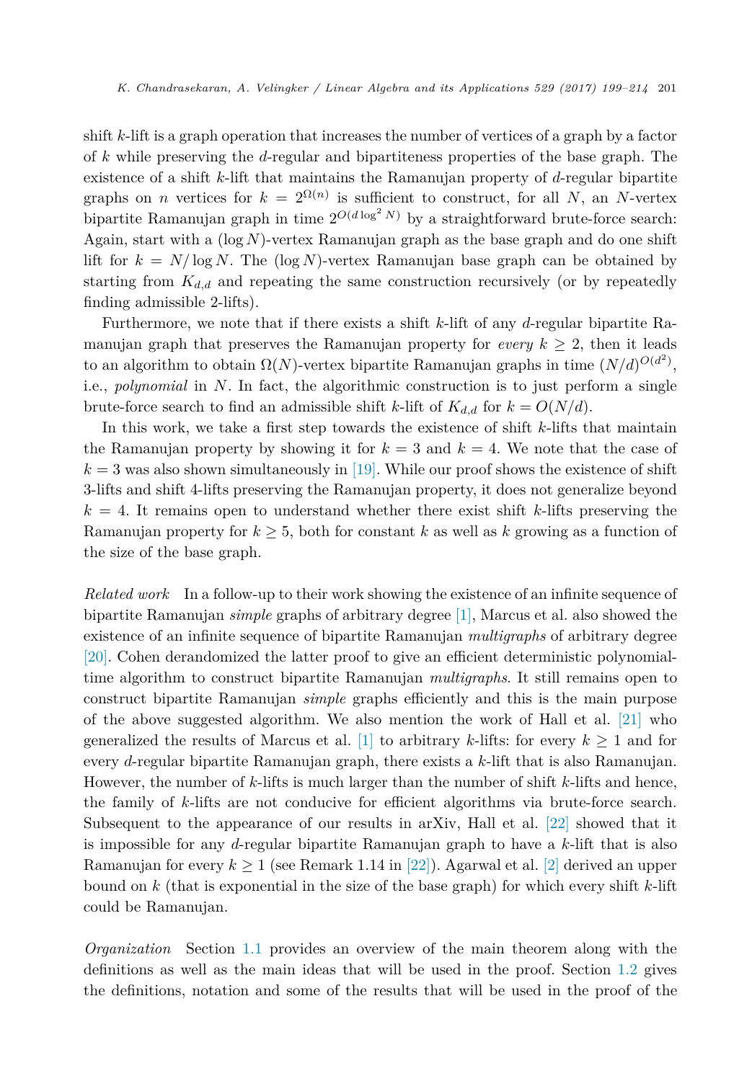shift *k*-lift is a graph operation that increases the number of vertices of a graph by a factor of *k* while preserving the *d*-regular and bipartiteness properties of the base graph. The existence of a shift *k*-lift that maintains the Ramanujan property of *d*-regular bipartite graphs on *n* vertices for  $k = 2^{\Omega(n)}$  is sufficient to construct, for all *N*, an *N*-vertex bipartite Ramanujan graph in time  $2^{O(d \log^2 N)}$  by a straightforward brute-force search: Again, start with a (log *N*)-vertex Ramanujan graph as the base graph and do one shift lift for  $k = N/\log N$ . The  $(\log N)$ -vertex Ramanujan base graph can be obtained by starting from  $K_{d,d}$  and repeating the same construction recursively (or by repeatedly finding admissible 2-lifts).

Furthermore, we note that if there exists a shift *k*-lift of any *d*-regular bipartite Ramanujan graph that preserves the Ramanujan property for *every*  $k \geq 2$ , then it leads to an algorithm to obtain  $\Omega(N)$ -vertex bipartite Ramanujan graphs in time  $(N/d)^{O(d^2)}$ , i.e., *polynomial* in *N*. In fact, the algorithmic construction is to just perform a single brute-force search to find an admissible shift *k*-lift of  $K_{d,d}$  for  $k = O(N/d)$ .

In this work, we take a first step towards the existence of shift *k*-lifts that maintain the Ramanujan property by showing it for  $k = 3$  and  $k = 4$ . We note that the case of  $k = 3$  was also shown simultaneously in [\[19\].](#page-15-0) While our proof shows the existence of shift 3-lifts and shift 4-lifts preserving the Ramanujan property, it does not generalize beyond  $k = 4$ . It remains open to understand whether there exist shift  $k$ -lifts preserving the Ramanujan property for  $k \geq 5$ , both for constant k as well as k growing as a function of the size of the base graph.

*Related work* In a follow-up to their work showing the existence of an infinite sequence of bipartite Ramanujan *simple* graphs of arbitrary degree [\[1\],](#page-14-0) Marcus et al. also showed the existence of an infinite sequence of bipartite Ramanujan *multigraphs* of arbitrary degree [\[20\].](#page-15-0) Cohen derandomized the latter proof to give an efficient deterministic polynomialtime algorithm to construct bipartite Ramanujan *multigraphs*. It still remains open to construct bipartite Ramanujan *simple* graphs efficiently and this is the main purpose of the above suggested algorithm. We also mention the work of Hall et al. [\[21\]](#page-15-0) who generalized the results of Marcus et al. [\[1\]](#page-14-0) to arbitrary *k*-lifts: for every  $k \geq 1$  and for every *d*-regular bipartite Ramanujan graph, there exists a *k*-lift that is also Ramanujan. However, the number of *k*-lifts is much larger than the number of shift *k*-lifts and hence, the family of *k*-lifts are not conducive for efficient algorithms via brute-force search. Subsequent to the appearance of our results in arXiv, Hall et al. [\[22\]](#page-15-0) showed that it is impossible for any *d*-regular bipartite Ramanujan graph to have a *k*-lift that is also Ramanujan for every  $k \geq 1$  (see Remark 1.14 in [\[22\]\)](#page-15-0). Agarwal et al. [\[2\]](#page-14-0) derived an upper bound on *k* (that is exponential in the size of the base graph) for which every shift *k*-lift could be Ramanujan.

*Organization* Section [1.1](#page-3-0) provides an overview of the main theorem along with the definitions as well as the main ideas that will be used in the proof. Section [1.2](#page-4-0) gives the definitions, notation and some of the results that will be used in the proof of the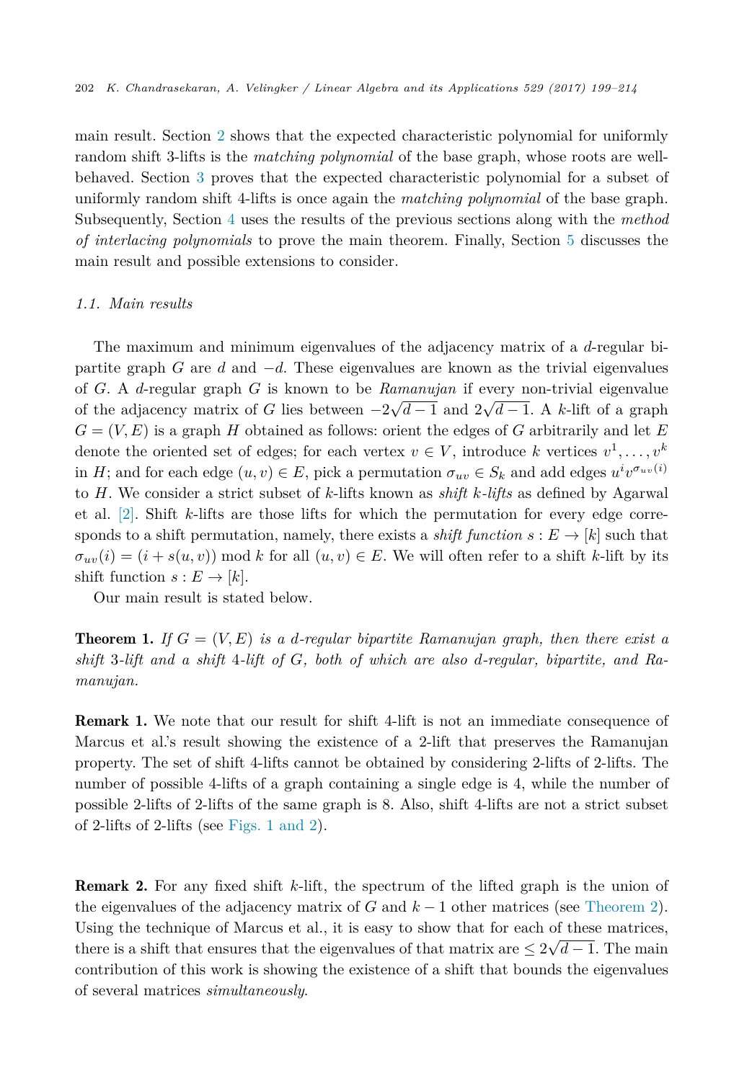<span id="page-3-0"></span>main result. Section [2](#page-6-0) shows that the expected characteristic polynomial for uniformly random shift 3-lifts is the *matching polynomial* of the base graph, whose roots are wellbehaved. Section [3](#page-8-0) proves that the expected characteristic polynomial for a subset of uniformly random shift 4-lifts is once again the *matching polynomial* of the base graph. Subsequently, Section [4](#page-10-0) uses the results of the previous sections along with the *method of interlacing polynomials* to prove the main theorem. Finally, Section [5](#page-14-0) discusses the main result and possible extensions to consider.

# *1.1. Main results*

The maximum and minimum eigenvalues of the adjacency matrix of a *d*-regular bipartite graph *G* are *d* and −*d*. These eigenvalues are known as the trivial eigenvalues of *G*. A *d*-regular graph *G* is known to be *Ramanujan* if every non-trivial eigenvalue of the adjacency matrix of *G* lies between  $-2\sqrt{d-1}$  and  $2\sqrt{d-1}$ . A *k*-lift of a graph  $G = (V, E)$  is a graph *H* obtained as follows: orient the edges of *G* arbitrarily and let *E* denote the oriented set of edges; for each vertex  $v \in V$ , introduce *k* vertices  $v^1, \ldots, v^k$ in *H*; and for each edge  $(u, v) \in E$ , pick a permutation  $\sigma_{uv} \in S_k$  and add edges  $u^i v^{\sigma_{uv}(i)}$ to *H*. We consider a strict subset of *k*-lifts known as *shift k-lifts* as defined by Agarwal et al. [\[2\].](#page-14-0) Shift *k*-lifts are those lifts for which the permutation for every edge corresponds to a shift permutation, namely, there exists a *shift function*  $s : E \to [k]$  such that  $\sigma_{uv}(i) = (i + s(u, v)) \mod k$  for all  $(u, v) \in E$ . We will often refer to a shift *k*-lift by its shift function  $s: E \to [k]$ .

Our main result is stated below.

**Theorem 1.** If  $G = (V, E)$  is a d-regular bipartite Ramanujan graph, then there exist a *shift* 3*-lift and a shift* 4*-lift of G, both of which are also d-regular, bipartite, and Ramanujan.*

Remark 1. We note that our result for shift 4-lift is not an immediate consequence of Marcus et al.'s result showing the existence of a 2-lift that preserves the Ramanujan property. The set of shift 4-lifts cannot be obtained by considering 2-lifts of 2-lifts. The number of possible 4-lifts of a graph containing a single edge is 4, while the number of possible 2-lifts of 2-lifts of the same graph is 8. Also, shift 4-lifts are not a strict subset of 2-lifts of 2-lifts (see [Figs. 1 and](#page-4-0) 2).

Remark 2. For any fixed shift *k*-lift, the spectrum of the lifted graph is the union of the eigenvalues of the adjacency matrix of  $G$  and  $k-1$  other matrices (see [Theorem 2\)](#page-5-0). Using the technique of Marcus et al., it is easy to show that for each of these matrices, there is a shift that ensures that the eigenvalues of that matrix are  $\leq 2\sqrt{d-1}$ . The main contribution of this work is showing the existence of a shift that bounds the eigenvalues of several matrices *simultaneously*.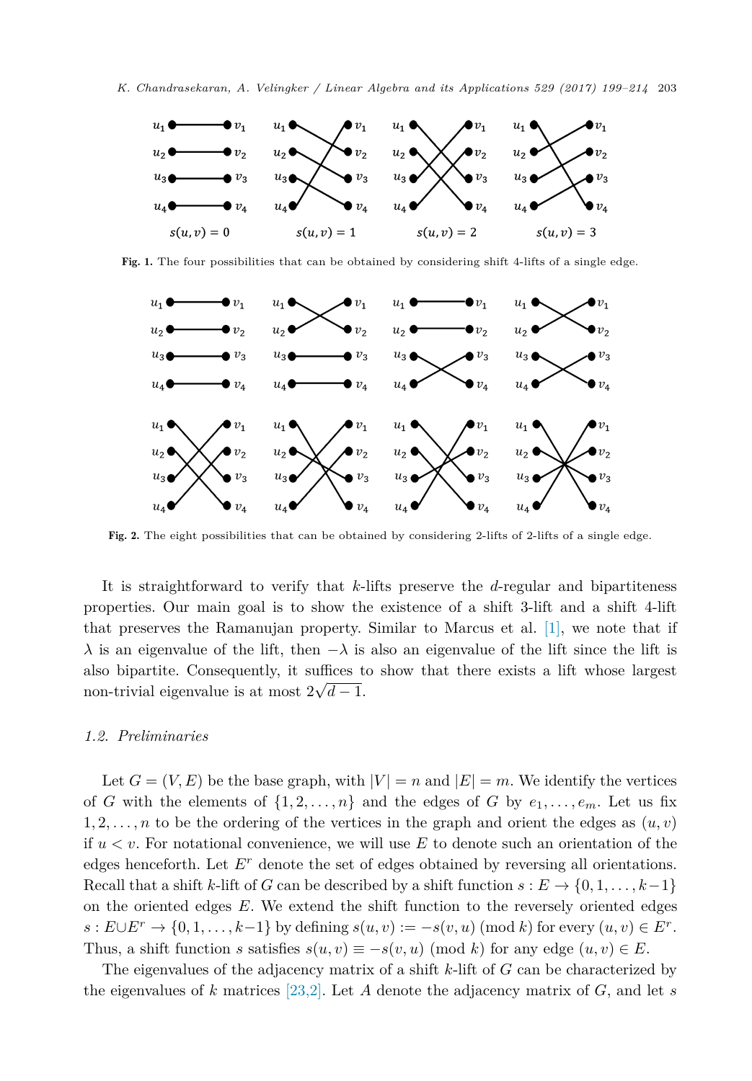<span id="page-4-0"></span>

Fig. 1. The four possibilities that can be obtained by considering shift 4-lifts of a single edge.



Fig. 2. The eight possibilities that can be obtained by considering 2-lifts of 2-lifts of a single edge.

It is straightforward to verify that *k*-lifts preserve the *d*-regular and bipartiteness properties. Our main goal is to show the existence of a shift 3-lift and a shift 4-lift that preserves the Ramanujan property. Similar to Marcus et al. [\[1\],](#page-14-0) we note that if *λ* is an eigenvalue of the lift, then  $-\lambda$  is also an eigenvalue of the lift since the lift is also bipartite. Consequently, it suffices to show that there exists a lift whose largest non-trivial eigenvalue is at most  $2\sqrt{d-1}$ .

#### *1.2. Preliminaries*

Let  $G = (V, E)$  be the base graph, with  $|V| = n$  and  $|E| = m$ . We identify the vertices of *G* with the elements of  $\{1, 2, \ldots, n\}$  and the edges of *G* by  $e_1, \ldots, e_m$ . Let us fix 1, 2,  $\ldots$ , *n* to be the ordering of the vertices in the graph and orient the edges as  $(u, v)$ if *u < v*. For notational convenience, we will use *E* to denote such an orientation of the edges henceforth. Let *E<sup>r</sup>* denote the set of edges obtained by reversing all orientations. Recall that a shift *k*-lift of *G* can be described by a shift function  $s : E \to \{0, 1, \ldots, k-1\}$ on the oriented edges *E*. We extend the shift function to the reversely oriented edges  $s: E \cup E^r \to \{0, 1, \ldots, k-1\}$  by defining  $s(u, v) := -s(v, u) \pmod{k}$  for every  $(u, v) \in E^r$ . Thus, a shift function *s* satisfies  $s(u, v) \equiv -s(v, u) \pmod{k}$  for any edge  $(u, v) \in E$ .

The eigenvalues of the adjacency matrix of a shift *k*-lift of *G* can be characterized by the eigenvalues of  $k$  matrices [\[23,2\].](#page-15-0) Let  $A$  denote the adjacency matrix of  $G$ , and let  $s$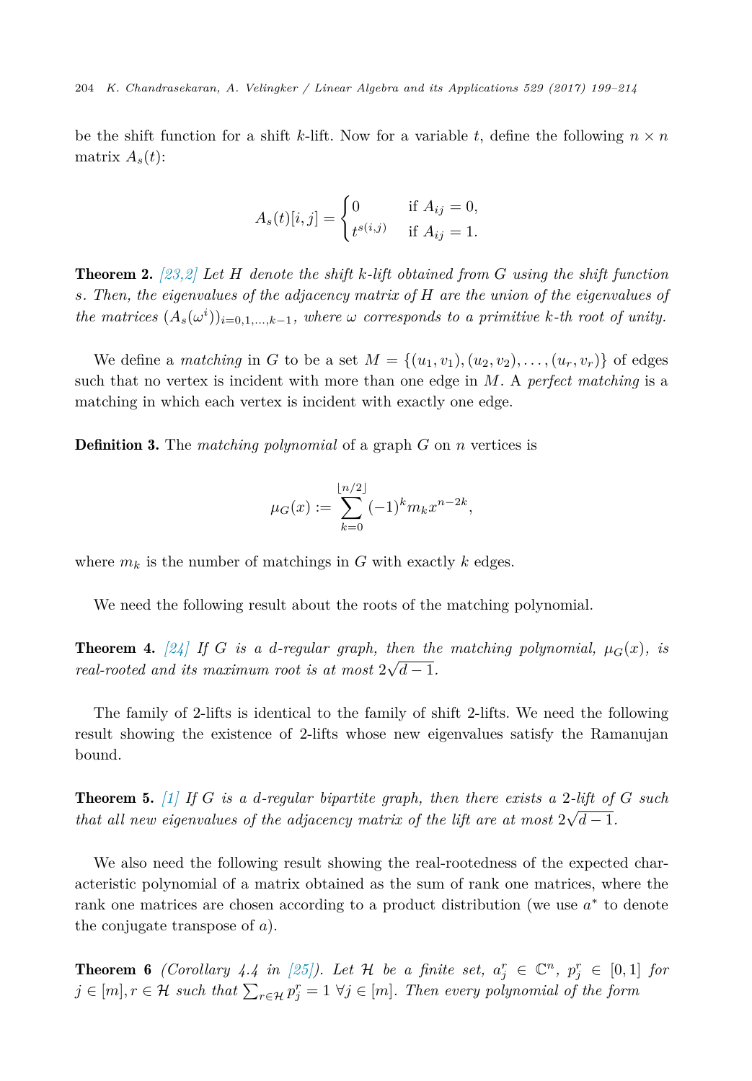<span id="page-5-0"></span>be the shift function for a shift *k*-lift. Now for a variable *t*, define the following  $n \times n$ matrix  $A_s(t)$ :

$$
A_s(t)[i,j] = \begin{cases} 0 & \text{if } A_{ij} = 0, \\ t^{s(i,j)} & \text{if } A_{ij} = 1. \end{cases}
$$

Theorem 2. *[\[23,2\]](#page-15-0) Let H denote the shift k-lift obtained from G using the shift function s. Then, the eigenvalues of the adjacency matrix of H are the union of the eigenvalues of* the matrices  $(A_s(\omega^i))_{i=0,1,...,k-1}$ , where  $\omega$  corresponds to a primitive k-th root of unity.

We define a *matching* in *G* to be a set  $M = \{(u_1, v_1), (u_2, v_2), \ldots, (u_r, v_r)\}\)$  of edges such that no vertex is incident with more than one edge in *M*. A *perfect matching* is a matching in which each vertex is incident with exactly one edge.

Definition 3. The *matching polynomial* of a graph *G* on *n* vertices is

$$
\mu_G(x) := \sum_{k=0}^{\lfloor n/2 \rfloor} (-1)^k m_k x^{n-2k},
$$

where  $m_k$  is the number of matchings in *G* with exactly  $k$  edges.

We need the following result about the roots of the matching polynomial.

**Theorem 4.** [\[24\]](#page-15-0) If G is a d-regular graph, then the matching polynomial,  $\mu_G(x)$ , is *real-rooted* and *its maximum root is at most*  $2\sqrt{d-1}$ *.* 

The family of 2-lifts is identical to the family of shift 2-lifts. We need the following result showing the existence of 2-lifts whose new eigenvalues satisfy the Ramanujan bound.

Theorem 5. *[\[1\]](#page-14-0) If G is a d-regular bipartite graph, then there exists a* 2*-lift of G such that all new eigenvalues of the adjacency matrix of the lift are at most*  $2\sqrt{d-1}$ *.* 

We also need the following result showing the real-rootedness of the expected characteristic polynomial of a matrix obtained as the sum of rank one matrices, where the rank one matrices are chosen according to a product distribution (we use *a*<sup>∗</sup> to denote the conjugate transpose of *a*).

**Theorem 6** (Corollary 4.4 in [\[25\]\)](#page-15-0). Let H be a finite set,  $a_j^r \in \mathbb{C}^n$ ,  $p_j^r \in [0,1]$  for  $j \in [m], r \in \mathcal{H}$  such that  $\sum_{r \in \mathcal{H}} p_j^r = 1 \ \forall j \in [m]$ . Then every polynomial of the form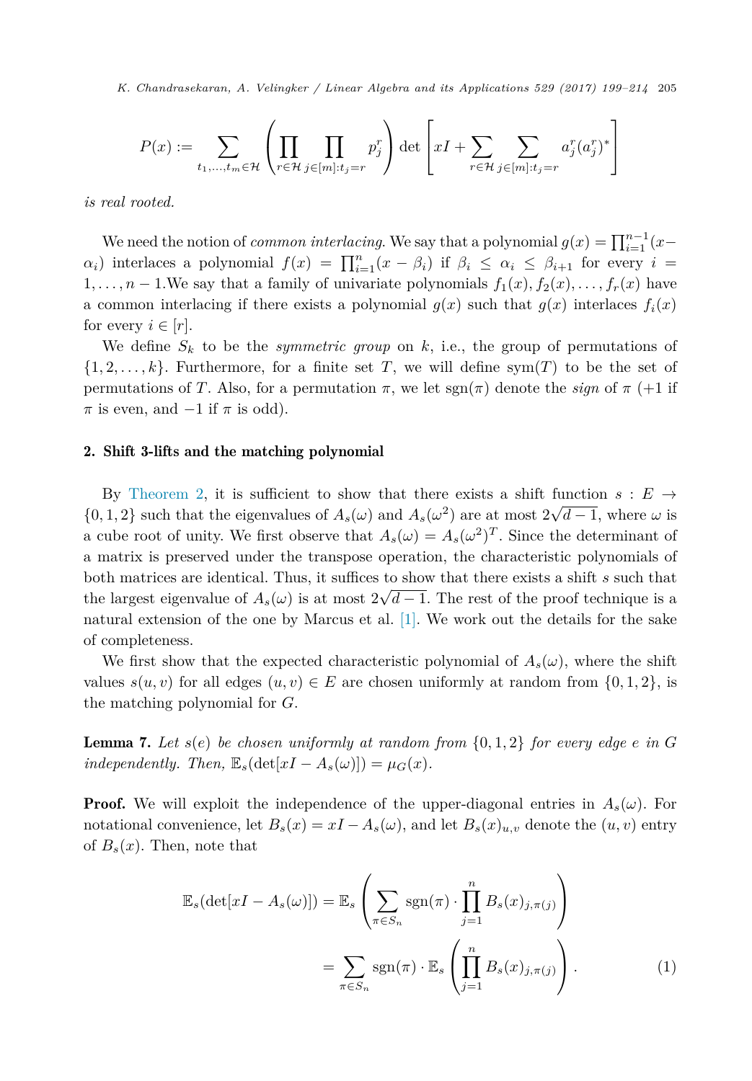<span id="page-6-0"></span>
$$
P(x) := \sum_{t_1,\ldots,t_m \in \mathcal{H}} \left(\prod_{r \in \mathcal{H}} \prod_{j \in [m]: t_j = r} p_j^r \right) \det \left[xI + \sum_{r \in \mathcal{H}} \sum_{j \in [m]: t_j = r} a_j^r (a_j^r)^*\right]
$$

*is real rooted.*

We need the notion of *common interlacing*. We say that a polynomial  $g(x) = \prod_{i=1}^{n-1} (x$ *a*<sup>*i*</sup>) interlaces a polynomial  $f(x) = \prod_{i=1}^{n} (x - \beta_i)$  if  $\beta_i \leq \alpha_i \leq \beta_{i+1}$  for every  $i =$ 1,  $\ldots$ , *n* − 1. We say that a family of univariate polynomials  $f_1(x), f_2(x), \ldots, f_r(x)$  have a common interlacing if there exists a polynomial  $g(x)$  such that  $g(x)$  interlaces  $f_i(x)$ for every  $i \in [r]$ .

We define  $S_k$  to be the *symmetric group* on  $k$ , i.e., the group of permutations of  $\{1, 2, \ldots, k\}$ . Furthermore, for a finite set *T*, we will define sym $(T)$  to be the set of permutations of *T*. Also, for a permutation  $\pi$ , we let sgn( $\pi$ ) denote the *sign* of  $\pi$  (+1 if  $\pi$  is even, and  $-1$  if  $\pi$  is odd).

#### 2. Shift 3-lifts and the matching polynomial

By [Theorem 2,](#page-5-0) it is sufficient to show that there exists a shift function  $s : E \rightarrow$  $\{0, 1, 2\}$  such that the eigenvalues of  $A_s(\omega)$  and  $A_s(\omega^2)$  are at most  $2\sqrt{d-1}$ , where  $\omega$  is a cube root of unity. We first observe that  $A_s(\omega) = A_s(\omega^2)^T$ . Since the determinant of a matrix is preserved under the transpose operation, the characteristic polynomials of both matrices are identical. Thus, it suffices to show that there exists a shift *s* such that the largest eigenvalue of  $A_s(\omega)$  is at most  $2\sqrt{d-1}$ . The rest of the proof technique is a natural extension of the one by Marcus et al. [\[1\].](#page-14-0) We work out the details for the sake of completeness.

We first show that the expected characteristic polynomial of  $A_s(\omega)$ , where the shift values  $s(u, v)$  for all edges  $(u, v) \in E$  are chosen uniformly at random from  $\{0, 1, 2\}$ , is the matching polynomial for *G*.

**Lemma 7.** Let  $s(e)$  be chosen uniformly at random from  $\{0, 1, 2\}$  for every edge  $e$  in  $G$ *independently. Then,*  $\mathbb{E}_s(\det[xI - A_s(\omega)]) = \mu_G(x)$ .

**Proof.** We will exploit the independence of the upper-diagonal entries in  $A_s(\omega)$ . For notational convenience, let  $B_s(x) = xI - A_s(\omega)$ , and let  $B_s(x)_{u,v}$  denote the  $(u, v)$  entry of  $B_s(x)$ . Then, note that

$$
\mathbb{E}_{s}(\det[xI - A_{s}(\omega)]) = \mathbb{E}_{s} \left( \sum_{\pi \in S_{n}} \text{sgn}(\pi) \cdot \prod_{j=1}^{n} B_{s}(x)_{j,\pi(j)} \right)
$$

$$
= \sum_{\pi \in S_{n}} \text{sgn}(\pi) \cdot \mathbb{E}_{s} \left( \prod_{j=1}^{n} B_{s}(x)_{j,\pi(j)} \right). \tag{1}
$$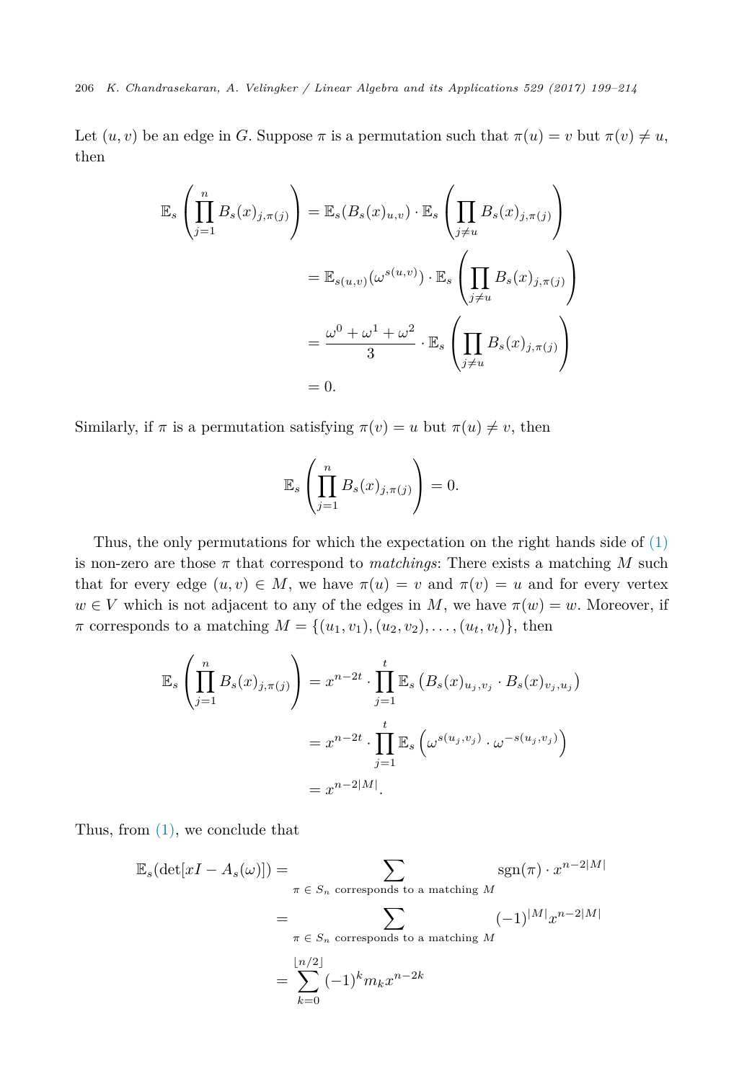Let  $(u, v)$  be an edge in *G*. Suppose  $\pi$  is a permutation such that  $\pi(u) = v$  but  $\pi(v) \neq u$ , then

$$
\mathbb{E}_{s} \left( \prod_{j=1}^{n} B_{s}(x)_{j,\pi(j)} \right) = \mathbb{E}_{s} (B_{s}(x)_{u,v}) \cdot \mathbb{E}_{s} \left( \prod_{j \neq u} B_{s}(x)_{j,\pi(j)} \right)
$$

$$
= \mathbb{E}_{s(u,v)} (\omega^{s(u,v)}) \cdot \mathbb{E}_{s} \left( \prod_{j \neq u} B_{s}(x)_{j,\pi(j)} \right)
$$

$$
= \frac{\omega^{0} + \omega^{1} + \omega^{2}}{3} \cdot \mathbb{E}_{s} \left( \prod_{j \neq u} B_{s}(x)_{j,\pi(j)} \right)
$$

$$
= 0.
$$

Similarly, if  $\pi$  is a permutation satisfying  $\pi(v) = u$  but  $\pi(u) \neq v$ , then

$$
\mathbb{E}_s\left(\prod_{j=1}^n B_s(x)_{j,\pi(j)}\right)=0.
$$

Thus, the only permutations for which the expectation on the right hands side of [\(1\)](#page-6-0) is non-zero are those *π* that correspond to *matchings*: There exists a matching *M* such that for every edge  $(u, v) \in M$ , we have  $\pi(u) = v$  and  $\pi(v) = u$  and for every vertex  $w \in V$  which is not adjacent to any of the edges in *M*, we have  $\pi(w) = w$ . Moreover, if  $\pi$  corresponds to a matching  $M = \{(u_1, v_1), (u_2, v_2), \ldots, (u_t, v_t)\},\$ then

$$
\mathbb{E}_s \left( \prod_{j=1}^n B_s(x)_{j,\pi(j)} \right) = x^{n-2t} \cdot \prod_{j=1}^t \mathbb{E}_s \left( B_s(x)_{u_j, v_j} \cdot B_s(x)_{v_j, u_j} \right)
$$

$$
= x^{n-2t} \cdot \prod_{j=1}^t \mathbb{E}_s \left( \omega^{s(u_j, v_j)} \cdot \omega^{-s(u_j, v_j)} \right)
$$

$$
= x^{n-2|M|}.
$$

Thus, from [\(1\),](#page-6-0) we conclude that

$$
\mathbb{E}_s(\det[xI - A_s(\omega)]) = \sum_{\pi \in S_n \text{ corresponds to a matching } M} \operatorname{sgn}(\pi) \cdot x^{n-2|M|}
$$

$$
= \sum_{\pi \in S_n \text{ corresponds to a matching } M} (-1)^{|M|} x^{n-2|M|}
$$

$$
= \sum_{k=0}^{\lfloor n/2 \rfloor} (-1)^k m_k x^{n-2k}
$$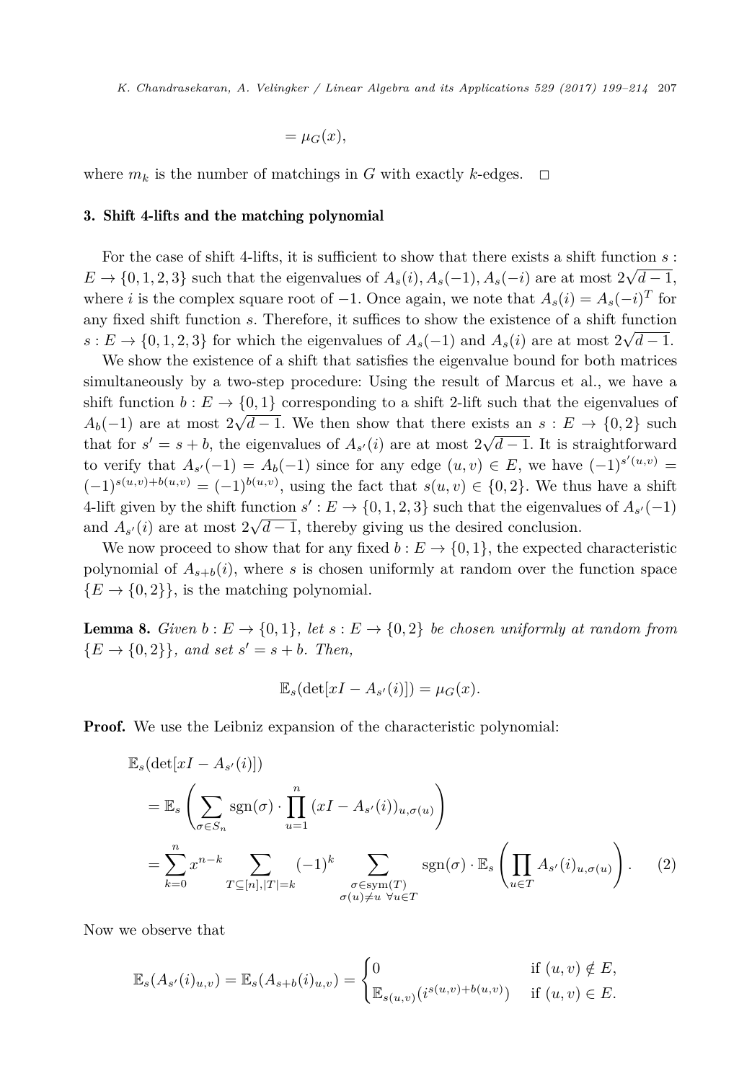$$
=\mu_G(x),
$$

<span id="page-8-0"></span>where  $m_k$  is the number of matchings in *G* with exactly *k*-edges.  $\Box$ 

### 3. Shift 4-lifts and the matching polynomial

For the case of shift 4-lifts, it is sufficient to show that there exists a shift function *s* :  $E \to \{0, 1, 2, 3\}$  such that the eigenvalues of  $A_s(i)$ ,  $A_s(-1)$ ,  $A_s(-i)$  are at most  $2\sqrt{d-1}$ , where *i* is the complex square root of  $-1$ . Once again, we note that  $A_s(i) = A_s(-i)^T$  for any fixed shift function *s*. Therefore, it suffices to show the existence of a shift function  $s: E \to \{0, 1, 2, 3\}$  for which the eigenvalues of  $A_s(-1)$  and  $A_s(i)$  are at most  $2\sqrt{d-1}$ .

We show the existence of a shift that satisfies the eigenvalue bound for both matrices simultaneously by a two-step procedure: Using the result of Marcus et al., we have a shift function  $b : E \to \{0,1\}$  corresponding to a shift 2-lift such that the eigenvalues of  $A_b(-1)$  are at most  $2\sqrt{d-1}$ . We then show that there exists an *s* : *E* → {0*,* 2} such that for  $s' = s + b$ , the eigenvalues of  $A_{s'}(i)$  are at most  $2\sqrt{d-1}$ . It is straightforward to verify that  $A_{s'}(-1) = A_b(-1)$  since for any edge  $(u, v) \in E$ , we have  $(-1)^{s'(u,v)} =$  $(-1)^{s(u,v)+b(u,v)} = (-1)^{b(u,v)}$ , using the fact that  $s(u,v) \in \{0,2\}$ . We thus have a shift 4-lift given by the shift function  $s' : E \to \{0, 1, 2, 3\}$  such that the eigenvalues of  $A_{s'}(-1)$ and  $\ddot{A}_{s'}(i)$  are at most  $2\sqrt{d-1}$ , thereby giving us the desired conclusion.

We now proceed to show that for any fixed  $b : E \to \{0, 1\}$ , the expected characteristic polynomial of  $A_{s+b}(i)$ , where *s* is chosen uniformly at random over the function space  ${E \rightarrow \{0,2\}}$ , is the matching polynomial.

**Lemma 8.** *Given*  $b: E \to \{0,1\}$ , *let*  $s: E \to \{0,2\}$  *be chosen uniformly at random from*  ${E \rightarrow \{0,2\}}$ , and set  $s' = s + b$ . Then,

$$
\mathbb{E}_s(\det[xI - A_{s'}(i)]) = \mu_G(x).
$$

Proof. We use the Leibniz expansion of the characteristic polynomial:

$$
\mathbb{E}_{s}(\det[xI - A_{s'}(i)])
$$
\n
$$
= \mathbb{E}_{s} \left( \sum_{\sigma \in S_{n}} sgn(\sigma) \cdot \prod_{u=1}^{n} (xI - A_{s'}(i))_{u,\sigma(u)} \right)
$$
\n
$$
= \sum_{k=0}^{n} x^{n-k} \sum_{T \subseteq [n], |T| = k} (-1)^{k} \sum_{\substack{\sigma \in sym(T) \\ \sigma(u) \neq u \,\,\forall u \in T}} sgn(\sigma) \cdot \mathbb{E}_{s} \left( \prod_{u \in T} A_{s'}(i)_{u,\sigma(u)} \right). \tag{2}
$$

Now we observe that

$$
\mathbb{E}_s(A_{s'}(i)_{u,v}) = \mathbb{E}_s(A_{s+b}(i)_{u,v}) = \begin{cases} 0 & \text{if } (u,v) \notin E, \\ \mathbb{E}_{s(u,v)}(i^{s(u,v)+b(u,v)}) & \text{if } (u,v) \in E. \end{cases}
$$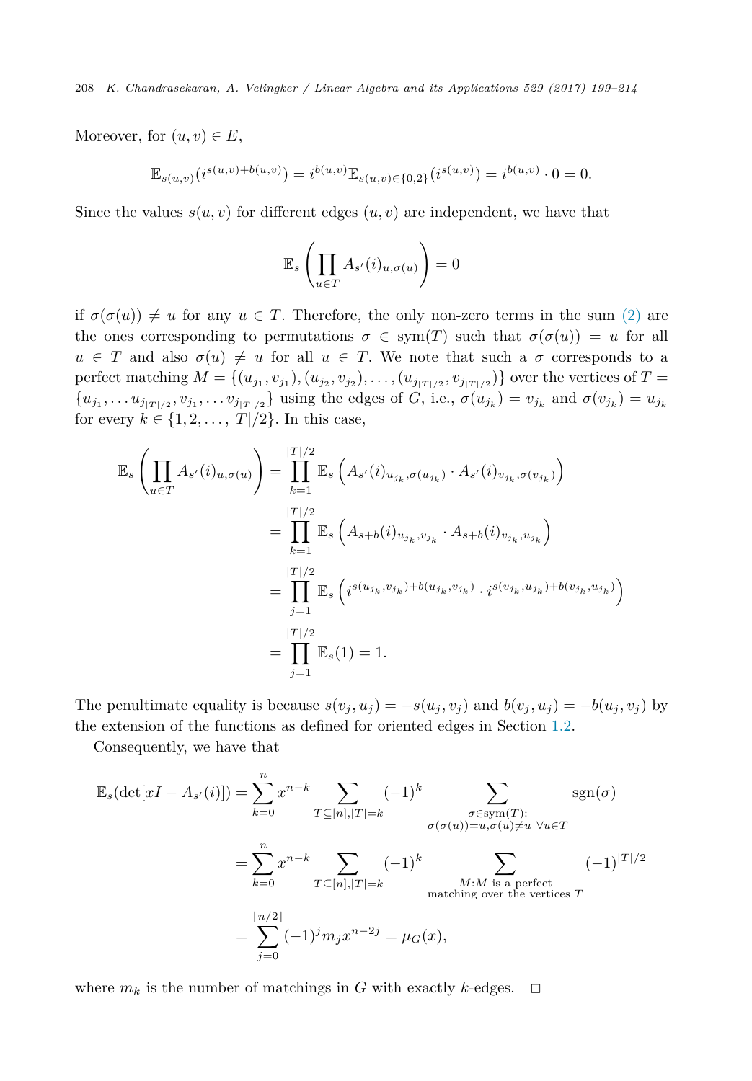Moreover, for  $(u, v) \in E$ ,

$$
\mathbb{E}_{s(u,v)}(i^{s(u,v)+b(u,v)}) = i^{b(u,v)} \mathbb{E}_{s(u,v)\in\{0,2\}}(i^{s(u,v)}) = i^{b(u,v)} \cdot 0 = 0.
$$

Since the values  $s(u, v)$  for different edges  $(u, v)$  are independent, we have that

$$
\mathbb{E}_s\left(\prod_{u\in T}A_{s'}(i)_{u,\sigma(u)}\right)=0
$$

if  $\sigma(\sigma(u)) \neq u$  for any  $u \in T$ . Therefore, the only non-zero terms in the sum [\(2\)](#page-8-0) are the ones corresponding to permutations  $\sigma \in sym(T)$  such that  $\sigma(\sigma(u)) = u$  for all  $u \in T$  and also  $\sigma(u) \neq u$  for all  $u \in T$ . We note that such a  $\sigma$  corresponds to a perfect matching  $M = \{(u_{j_1}, v_{j_1}), (u_{j_2}, v_{j_2}), \dots, (u_{j_{|T|/2}}, v_{j_{|T|/2}})\}\$  over the vertices of  $T =$  ${u_{j_1}, \ldots u_{j_{|T|/2}}, v_{j_1}, \ldots v_{j_{|T|/2}}}$  using the edges of G, i.e.,  $\sigma(u_{j_k}) = v_{j_k}$  and  $\sigma(v_{j_k}) = u_{j_k}$ for every  $k \in \{1, 2, \ldots, |T|/2\}$ . In this case,

$$
\mathbb{E}_{s} \left( \prod_{u \in T} A_{s'}(i)_{u, \sigma(u)} \right) = \prod_{k=1}^{|T|/2} \mathbb{E}_{s} \left( A_{s'}(i)_{u_{j_k}, \sigma(u_{j_k})} \cdot A_{s'}(i)_{v_{j_k}, \sigma(v_{j_k})} \right)
$$
  
\n
$$
= \prod_{k=1}^{|T|/2} \mathbb{E}_{s} \left( A_{s+b}(i)_{u_{j_k}, v_{j_k}} \cdot A_{s+b}(i)_{v_{j_k}, u_{j_k}} \right)
$$
  
\n
$$
= \prod_{j=1}^{|T|/2} \mathbb{E}_{s} \left( i^{s(u_{j_k}, v_{j_k}) + b(u_{j_k}, v_{j_k})} \cdot i^{s(v_{j_k}, u_{j_k}) + b(v_{j_k}, u_{j_k})} \right)
$$
  
\n
$$
= \prod_{j=1}^{|T|/2} \mathbb{E}_{s}(1) = 1.
$$

The penultimate equality is because  $s(v_i, u_j) = -s(u_j, v_j)$  and  $b(v_j, u_j) = -b(u_j, v_j)$  by the extension of the functions as defined for oriented edges in Section [1.2.](#page-4-0)

Consequently, we have that

$$
\mathbb{E}_{s}(\det[xI - A_{s'}(i)]) = \sum_{k=0}^{n} x^{n-k} \sum_{T \subseteq [n], |T| = k} (-1)^{k} \sum_{\substack{\sigma \in \text{sym}(T):\\ \sigma(\sigma(u)) = u, \sigma(u) \neq u \ \forall u \in T}} \text{sgn}(\sigma)
$$

$$
= \sum_{k=0}^{n} x^{n-k} \sum_{T \subseteq [n], |T| = k} (-1)^{k} \sum_{\substack{M:M \text{ is a perfect}\\ \text{matching over the vertices } T}} (-1)^{|T|/2}
$$

$$
= \sum_{j=0}^{\lfloor n/2 \rfloor} (-1)^{j} m_{j} x^{n-2j} = \mu_{G}(x),
$$

where  $m_k$  is the number of matchings in *G* with exactly *k*-edges.  $\Box$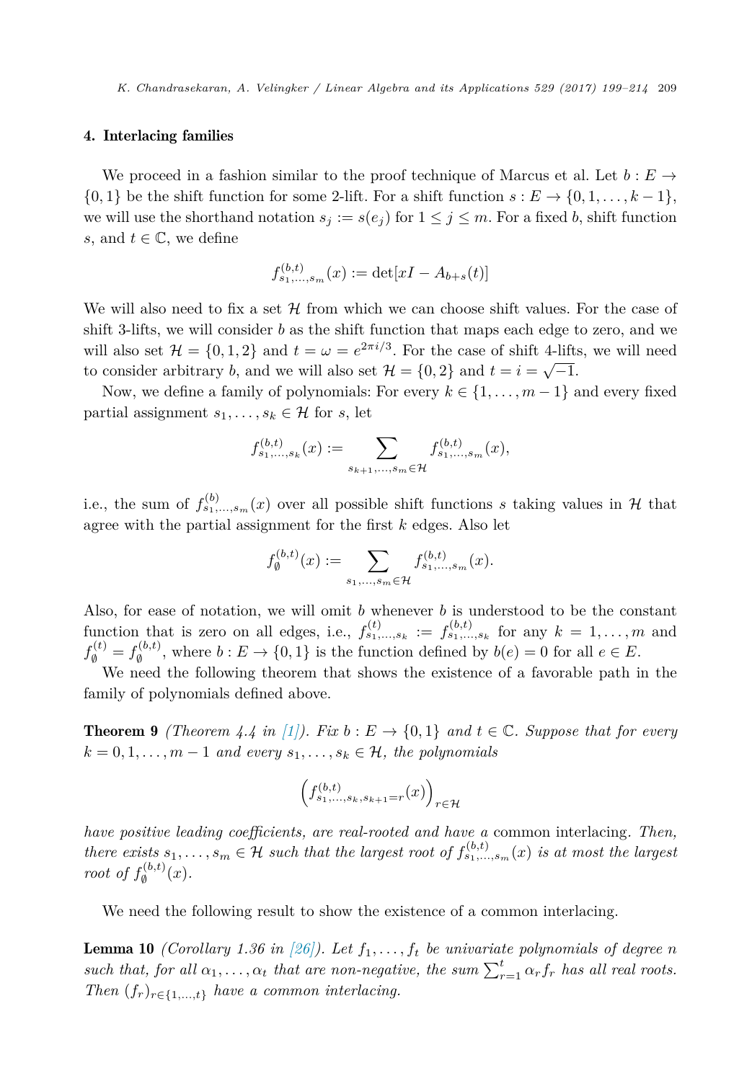#### <span id="page-10-0"></span>4. Interlacing families

We proceed in a fashion similar to the proof technique of Marcus et al. Let  $b : E \rightarrow$  $\{0,1\}$  be the shift function for some 2-lift. For a shift function  $s: E \to \{0,1,\ldots,k-1\}$ , we will use the shorthand notation  $s_j := s(e_j)$  for  $1 \leq j \leq m$ . For a fixed *b*, shift function *s*, and  $t \in \mathbb{C}$ , we define

$$
f_{s_1,\ldots,s_m}^{(b,t)}(x) := \det[xI - A_{b+s}(t)]
$$

We will also need to fix a set  $H$  from which we can choose shift values. For the case of shift 3-lifts, we will consider *b* as the shift function that maps each edge to zero, and we will also set  $\mathcal{H} = \{0, 1, 2\}$  and  $t = \omega = e^{2\pi i/3}$ . For the case of shift 4-lifts, we will need to consider arbitrary *b*, and we will also set  $\mathcal{H} = \{0, 2\}$  and  $t = i = \sqrt{-1}$ .

Now, we define a family of polynomials: For every  $k \in \{1, \ldots, m-1\}$  and every fixed partial assignment  $s_1, \ldots, s_k \in \mathcal{H}$  for *s*, let

$$
f_{s_1,\ldots,s_k}^{(b,t)}(x) := \sum_{s_{k+1},\ldots,s_m \in \mathcal{H}} f_{s_1,\ldots,s_m}^{(b,t)}(x),
$$

i.e., the sum of  $f_{s_1,\ldots,s_m}^{(b)}(x)$  over all possible shift functions *s* taking values in  $H$  that agree with the partial assignment for the first *k* edges. Also let

$$
f_{\emptyset}^{(b,t)}(x) := \sum_{s_1, ..., s_m \in \mathcal{H}} f_{s_1, ..., s_m}^{(b,t)}(x).
$$

Also, for ease of notation, we will omit *b* whenever *b* is understood to be the constant function that is zero on all edges, i.e.,  $f_{s_1,\ldots,s_k}^{(t)} := f_{s_1,\ldots,s_k}^{(b,t)}$  for any  $k = 1,\ldots,m$  and  $f_{\emptyset}^{(t)} = f_{\emptyset}^{(b,t)}$ , where  $b : E \to \{0,1\}$  is the function defined by  $b(e) = 0$  for all  $e \in E$ .

We need the following theorem that shows the existence of a favorable path in the family of polynomials defined above.

**Theorem 9** *(Theorem 4.4 in [\[1\]\)](#page-14-0).* Fix  $b : E \to \{0, 1\}$  and  $t \in \mathbb{C}$ *. Suppose that for every*  $k = 0, 1, \ldots, m - 1$  *and every*  $s_1, \ldots, s_k \in \mathcal{H}$ , the polynomials

$$
\left(f_{s_1,\ldots,s_k,s_{k+1}=r}^{(b,t)}(x)\right)_{r\in\mathcal{H}}
$$

*have positive leading coefficients, are real-rooted and have a* common interlacing*. Then,* there exists  $s_1, \ldots, s_m \in \mathcal{H}$  such that the largest root of  $f_{s_1, \ldots, s_m}^{(b,t)}(x)$  is at most the largest *root of*  $f_{\emptyset}^{(b,t)}(x)$ *.* 

We need the following result to show the existence of a common interlacing.

**Lemma 10** *(Corollary* 1.36 *in* [\[26\]\)](#page-15-0). Let  $f_1, \ldots, f_t$  be univariate polynomials of degree *n* such that, for all  $\alpha_1, \ldots, \alpha_t$  that are non-negative, the sum  $\sum_{r=1}^t \alpha_r f_r$  has all real roots. *Then*  $(f_r)_{r \in \{1,\ldots,t\}}$  *have a common interlacing.*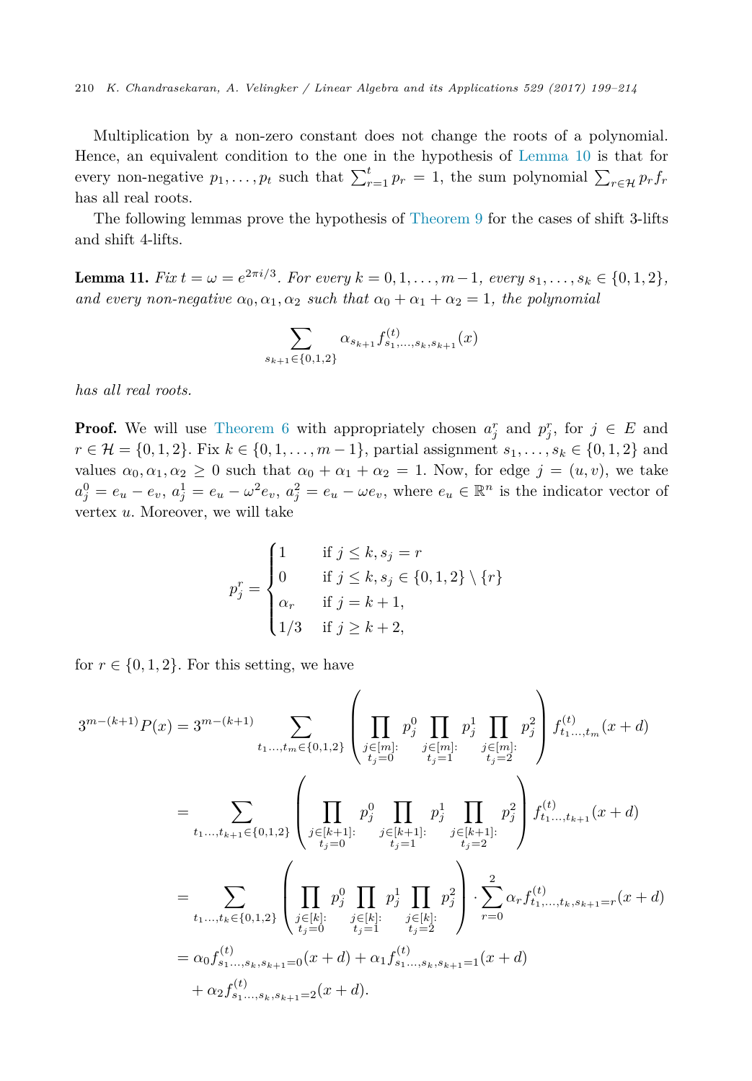Multiplication by a non-zero constant does not change the roots of a polynomial. Hence, an equivalent condition to the one in the hypothesis of [Lemma 10](#page-10-0) is that for every non-negative  $p_1, \ldots, p_t$  such that  $\sum_{r=1}^t p_r = 1$ , the sum polynomial  $\sum_{r \in \mathcal{H}} p_r f_r$ has all real roots.

The following lemmas prove the hypothesis of [Theorem 9](#page-10-0) for the cases of shift 3-lifts and shift 4-lifts.

**Lemma 11.** Fix  $t = \omega = e^{2\pi i/3}$ . For every  $k = 0, 1, ..., m-1$ , every  $s_1, ..., s_k \in \{0, 1, 2\}$ , *and every non-negative*  $\alpha_0, \alpha_1, \alpha_2$  *such that*  $\alpha_0 + \alpha_1 + \alpha_2 = 1$ *, the polynomial* 

$$
\sum_{s_{k+1}\in\{0,1,2\}} \alpha_{s_{k+1}} f_{s_1,\ldots,s_k,s_{k+1}}^{(t)}(x)
$$

*has all real roots.*

**Proof.** We will use [Theorem 6](#page-5-0) with appropriately chosen  $a_j^r$  and  $p_j^r$ , for  $j \in E$  and *r* ∈ *H* = {0, 1, 2}. Fix *k* ∈ {0, 1, ..., *m* − 1}, partial assignment *s*<sub>1</sub>, ..., *s*<sub>*k*</sub> ∈ {0, 1, 2} and values  $\alpha_0, \alpha_1, \alpha_2 \geq 0$  such that  $\alpha_0 + \alpha_1 + \alpha_2 = 1$ . Now, for edge  $j = (u, v)$ , we take  $a_j^0 = e_u - e_v, a_j^1 = e_u - \omega^2 e_v, a_j^2 = e_u - \omega e_v$ , where  $e_u \in \mathbb{R}^n$  is the indicator vector of vertex *u*. Moreover, we will take

$$
p_j^r = \begin{cases} 1 & \text{if } j \le k, s_j = r \\ 0 & \text{if } j \le k, s_j \in \{0, 1, 2\} \setminus \{r\} \\ \alpha_r & \text{if } j = k + 1, \\ 1/3 & \text{if } j \ge k + 2, \end{cases}
$$

for  $r \in \{0, 1, 2\}$ . For this setting, we have

$$
3^{m-(k+1)}P(x) = 3^{m-(k+1)} \sum_{t_1,\dots,t_m \in \{0,1,2\}} \left( \prod_{\substack{j \in [m]: \\ t_j = 0}} p_j^0 \prod_{\substack{j \in [m]: \\ t_j = 1}} p_j^1 \prod_{\substack{j \in [m]: \\ t_j = 2}} p_j^2 \right) f_{t_1,\dots,t_m}^{(t)}(x+d)
$$
  

$$
= \sum_{t_1,\dots,t_{k+1} \in \{0,1,2\}} \left( \prod_{\substack{j \in [k+1]: \\ t_j = 0}} p_j^0 \prod_{\substack{j \in [k+1]: \\ t_j = 1}} p_j^1 \prod_{\substack{j \in [k+1]: \\ t_j = 2}} p_j^2 \right) f_{t_1,\dots,t_{k+1}}^{(t)}(x+d)
$$
  

$$
= \sum_{t_1,\dots,t_k \in \{0,1,2\}} \left( \prod_{\substack{j \in [k]: \\ t_j = 0}} p_j^0 \prod_{\substack{j \in [k]: \\ t_j = 1}} p_j^1 \prod_{\substack{j \in [k]: \\ t_j = 2}} p_j^2 \right) \cdot \sum_{r=0}^2 \alpha_r f_{t_1,\dots,t_k,s_{k+1}=r}^{(t)}(x+d)
$$
  

$$
= \alpha_0 f_{s_1,\dots,s_k,s_{k+1}=0}^{(t)}(x+d) + \alpha_1 f_{s_1,\dots,s_k,s_{k+1}=1}^{(t)}(x+d)
$$
  

$$
+ \alpha_2 f_{s_1,\dots,s_k,s_{k+1}=2}^{(t)}(x+d).
$$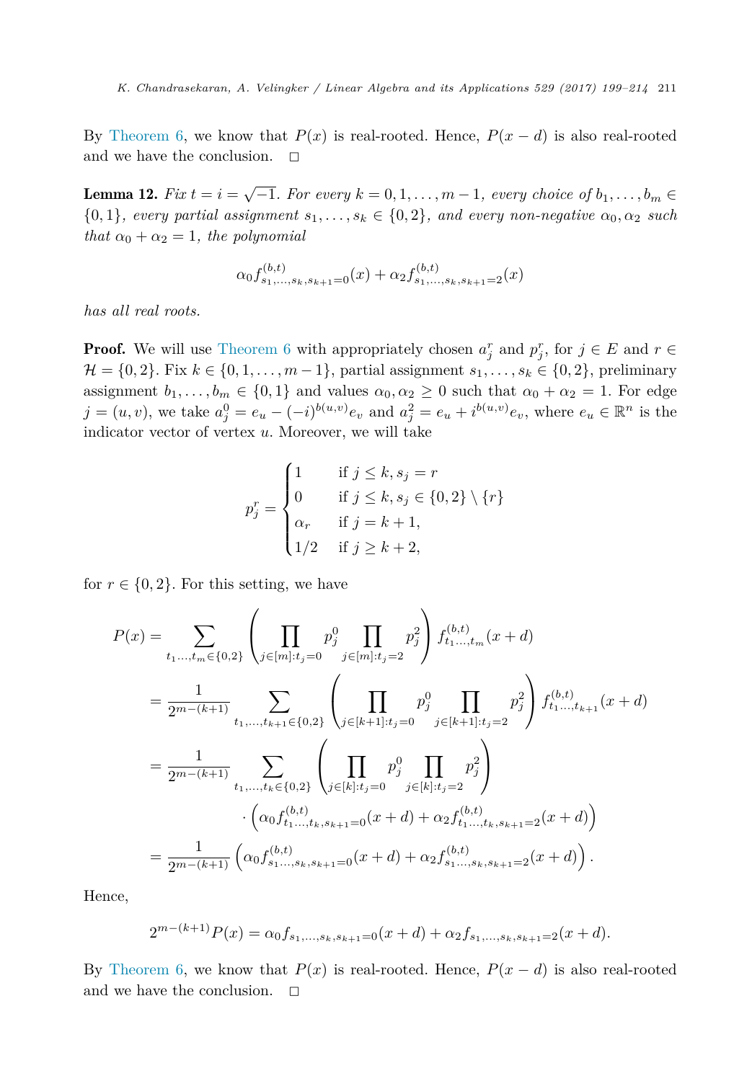By [Theorem 6,](#page-5-0) we know that  $P(x)$  is real-rooted. Hence,  $P(x - d)$  is also real-rooted and we have the conclusion.  $\square$ 

**Lemma 12.** Fix  $t = i = \sqrt{-1}$ . For every  $k = 0, 1, ..., m-1$ , every choice of  $b_1, ..., b_m \in$  $\{0,1\}$ *, every partial assignment*  $s_1, \ldots, s_k \in \{0,2\}$ *, and every non-negative*  $\alpha_0, \alpha_2$  *such that*  $\alpha_0 + \alpha_2 = 1$ *, the polynomial* 

$$
\alpha_0 f_{s_1,\ldots,s_k,s_{k+1}=0}^{(b,t)}(x) + \alpha_2 f_{s_1,\ldots,s_k,s_{k+1}=2}^{(b,t)}(x)
$$

*has all real roots.*

**Proof.** We will use [Theorem 6](#page-5-0) with appropriately chosen  $a_j^r$  and  $p_j^r$ , for  $j \in E$  and  $r \in E$  $\mathcal{H} = \{0, 2\}$ . Fix  $k \in \{0, 1, \ldots, m-1\}$ , partial assignment  $s_1, \ldots, s_k \in \{0, 2\}$ , preliminary assignment  $b_1, \ldots, b_m \in \{0, 1\}$  and values  $\alpha_0, \alpha_2 \geq 0$  such that  $\alpha_0 + \alpha_2 = 1$ . For edge  $j=(u,v)$ , we take  $a_j^0=e_u-(-i)^{b(u,v)}e_v$  and  $a_j^2=e_u+i^{b(u,v)}e_v$ , where  $e_u \in \mathbb{R}^n$  is the indicator vector of vertex *u*. Moreover, we will take

$$
p_j^r = \begin{cases} 1 & \text{if } j \le k, s_j = r \\ 0 & \text{if } j \le k, s_j \in \{0, 2\} \setminus \{r\} \\ \alpha_r & \text{if } j = k + 1, \\ 1/2 & \text{if } j \ge k + 2, \end{cases}
$$

for  $r \in \{0, 2\}$ . For this setting, we have

$$
P(x) = \sum_{t_1, \dots, t_m \in \{0, 2\}} \left( \prod_{j \in [m]: t_j = 0} p_j^0 \prod_{j \in [m]: t_j = 2} p_j^2 \right) f_{t_1, \dots, t_m}^{(b, t)}(x + d)
$$
  
\n
$$
= \frac{1}{2^{m - (k+1)}} \sum_{t_1, \dots, t_{k+1} \in \{0, 2\}} \left( \prod_{j \in [k+1]: t_j = 0} p_j^0 \prod_{j \in [k+1]: t_j = 2} p_j^2 \right) f_{t_1, \dots, t_{k+1}}^{(b, t)}(x + d)
$$
  
\n
$$
= \frac{1}{2^{m - (k+1)}} \sum_{t_1, \dots, t_k \in \{0, 2\}} \left( \prod_{j \in [k]: t_j = 0} p_j^0 \prod_{j \in [k]: t_j = 2} p_j^2 \right)
$$
  
\n
$$
\cdot \left( \alpha_0 f_{t_1, \dots, t_k, s_{k+1} = 0}^{(b, t)}(x + d) + \alpha_2 f_{t_1, \dots, t_k, s_{k+1} = 2}^{(b, t)}(x + d) \right)
$$
  
\n
$$
= \frac{1}{2^{m - (k+1)}} \left( \alpha_0 f_{s_1, \dots, s_k, s_{k+1} = 0}^{(b, t)}(x + d) + \alpha_2 f_{s_1, \dots, s_k, s_{k+1} = 2}^{(b, t)}(x + d) \right).
$$

Hence,

$$
2^{m-(k+1)}P(x) = \alpha_0 f_{s_1,\ldots,s_k,s_{k+1}=0}(x+d) + \alpha_2 f_{s_1,\ldots,s_k,s_{k+1}=2}(x+d).
$$

By [Theorem 6,](#page-5-0) we know that  $P(x)$  is real-rooted. Hence,  $P(x - d)$  is also real-rooted and we have the conclusion.  $\square$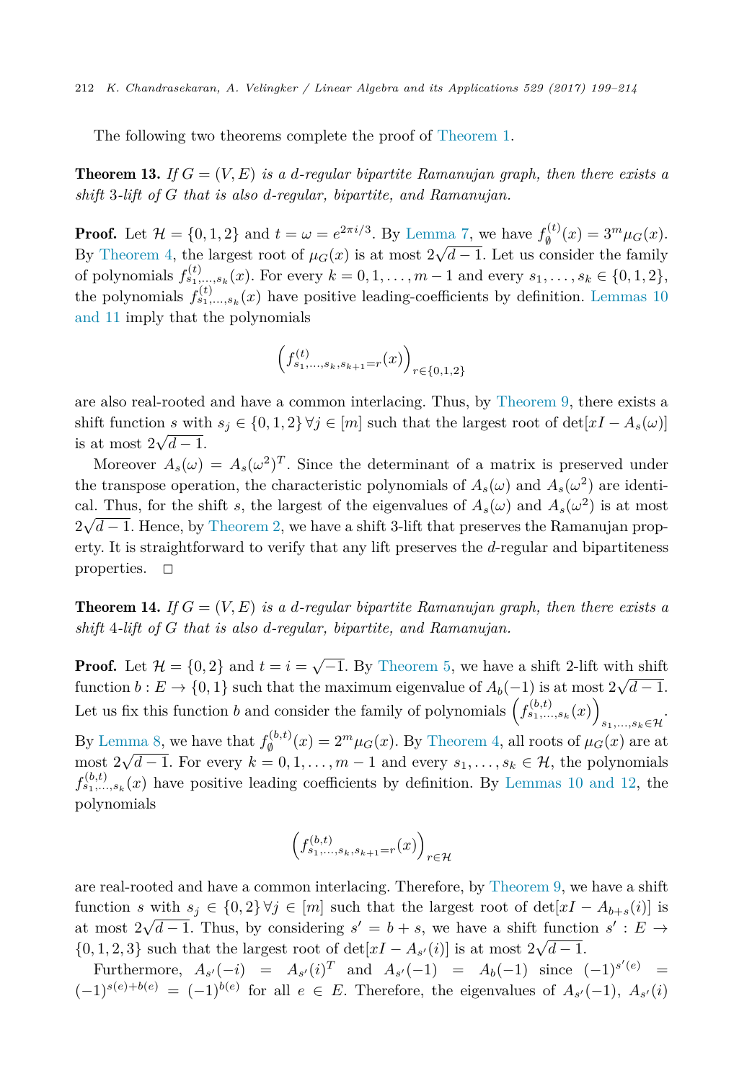The following two theorems complete the proof of [Theorem 1.](#page-3-0)

**Theorem 13.** If  $G = (V, E)$  is a d-regular bipartite Ramanujan graph, then there exists a *shift* 3*-lift of G that is also d-regular, bipartite, and Ramanujan.*

**Proof.** Let  $\mathcal{H} = \{0, 1, 2\}$  and  $t = \omega = e^{2\pi i/3}$ . By [Lemma 7,](#page-6-0) we have  $f_{\emptyset}^{(t)}(x) = 3^m \mu_G(x)$ . By [Theorem 4,](#page-5-0) the largest root of  $\mu_G(x)$  is at most  $2\sqrt{d-1}$ . Let us consider the family of polynomials  $f_{s_1,...,s_k}^{(t)}(x)$ . For every  $k = 0, 1, ..., m-1$  and every  $s_1,...,s_k \in \{0, 1, 2\}$ , the polynomials  $f_{s_1,\,\ldots,s_k}^{(t)}(x)$  have positive leading-coefficients by definition. [Lemmas 10](#page-10-0) [and](#page-10-0) 11 imply that the polynomials

$$
\left(f_{s_1,\ldots,s_k,s_{k+1}=r}^{(t)}(x)\right)_{r\in\{0,1,2\}}
$$

are also real-rooted and have a common interlacing. Thus, by [Theorem 9,](#page-10-0) there exists a shift function *s* with  $s_j \in \{0, 1, 2\} \forall j \in [m]$  such that the largest root of  $\det[xI - A_s(\omega)]$ is at most  $2\sqrt{d-1}$ .

Moreover  $A_s(\omega) = A_s(\omega^2)^T$ . Since the determinant of a matrix is preserved under the transpose operation, the characteristic polynomials of  $A_s(\omega)$  and  $A_s(\omega^2)$  are identical. Thus, for the shift *s*, the largest of the eigenvalues of  $A_s(\omega)$  and  $A_s(\omega^2)$  is at most  $2\sqrt{d-1}$ . Hence, by [Theorem 2,](#page-5-0) we have a shift 3-lift that preserves the Ramanujan property. It is straightforward to verify that any lift preserves the *d*-regular and bipartiteness properties.  $\square$ 

**Theorem 14.** If  $G = (V, E)$  is a d-regular bipartite Ramanujan graph, then there exists a *shift* 4*-lift of G that is also d-regular, bipartite, and Ramanujan.*

**Proof.** Let  $\mathcal{H} = \{0, 2\}$  and  $t = i = \sqrt{-1}$ . By [Theorem 5,](#page-5-0) we have a shift 2-lift with shift function *b* :  $E \to \{0, 1\}$  such that the maximum eigenvalue of  $A_b(-1)$  is at most  $2\sqrt{d-1}$ . Let us fix this function *b* and consider the family of polynomials  $(f_{s_1,\ldots,s_k}^{(b,t)}(x))$ .

*s*1*,...,sk*∈H By [Lemma 8,](#page-8-0) we have that  $f_{\emptyset}^{(b,t)}(x) = 2^m \mu_G(x)$ . By [Theorem 4,](#page-5-0) all roots of  $\mu_G(x)$  are at most  $2\sqrt{d-1}$ . For every  $k = 0, 1, \ldots, m-1$  and every  $s_1, \ldots, s_k \in \mathcal{H}$ , the polynomials  $f_{s_1,\ldots,s_k}^{(b,t)}(x)$  have positive leading coefficients by definition. By [Lemmas 10 and](#page-10-0) 12, the polynomials

$$
\left(f_{s_1,\ldots,s_k,s_{k+1}=r}^{(b,t)}(x)\right)_{r\in\mathcal{H}}
$$

are real-rooted and have a common interlacing. Therefore, by [Theorem 9,](#page-10-0) we have a shift function *s* with  $s_j \in \{0,2\} \forall j \in [m]$  such that the largest root of  $\det[xI - A_{b+s}(i)]$  is at most  $2\sqrt{d-1}$ . Thus, by considering  $s' = b + s$ , we have a shift function  $s' : E \rightarrow$  $\{0, 1, 2, 3\}$  such that the largest root of det $[xI - A_{s'}(i)]$  is at most  $2\sqrt{d-1}$ .

Furthermore,  $A_{s'}(-i) = A_{s'}(i)^T$  and  $A_{s'}(-1) = A_b(-1)$  since  $(-1)^{s'(e)} =$  $(-1)^{s(e)+b(e)} = (-1)^{b(e)}$  for all  $e \in E$ . Therefore, the eigenvalues of  $A_{s'}(-1)$ ,  $A_{s'}(i)$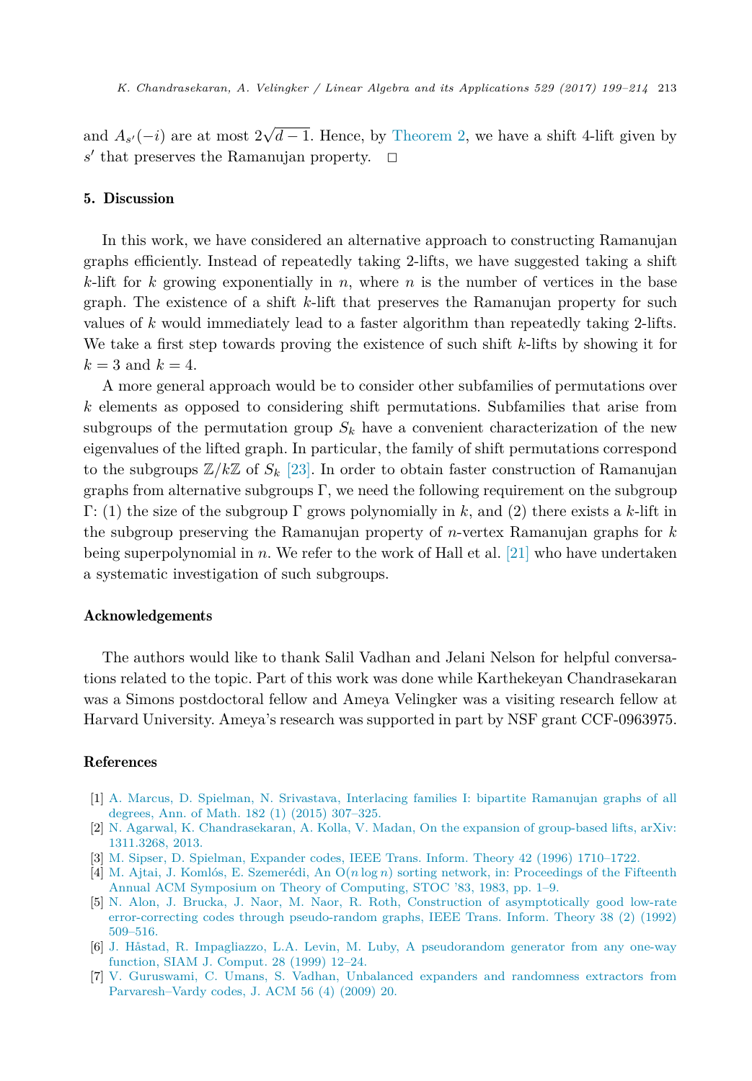<span id="page-14-0"></span>and  $A_{s'}(-i)$  are at most  $2\sqrt{d-1}$ . Hence, by [Theorem 2,](#page-5-0) we have a shift 4-lift given by  $s'$  that preserves the Ramanujan property.  $\Box$ 

# 5. Discussion

In this work, we have considered an alternative approach to constructing Ramanujan graphs efficiently. Instead of repeatedly taking 2-lifts, we have suggested taking a shift *k*-lift for *k* growing exponentially in *n*, where *n* is the number of vertices in the base graph. The existence of a shift *k*-lift that preserves the Ramanujan property for such values of *k* would immediately lead to a faster algorithm than repeatedly taking 2-lifts. We take a first step towards proving the existence of such shift *k*-lifts by showing it for  $k = 3$  and  $k = 4$ .

A more general approach would be to consider other subfamilies of permutations over *k* elements as opposed to considering shift permutations. Subfamilies that arise from subgroups of the permutation group  $S_k$  have a convenient characterization of the new eigenvalues of the lifted graph. In particular, the family of shift permutations correspond to the subgroups  $\mathbb{Z}/k\mathbb{Z}$  of  $S_k$  [\[23\].](#page-15-0) In order to obtain faster construction of Ramanujan graphs from alternative subgroups Γ, we need the following requirement on the subgroup Γ: (1) the size of the subgroup Γ grows polynomially in *k*, and (2) there exists a *k*-lift in the subgroup preserving the Ramanujan property of *n*-vertex Ramanujan graphs for *k* being superpolynomial in *n*. We refer to the work of Hall et al. [\[21\]](#page-15-0) who have undertaken a systematic investigation of such subgroups.

# Acknowledgements

The authors would like to thank Salil Vadhan and Jelani Nelson for helpful conversations related to the topic. Part of this work was done while Karthekeyan Chandrasekaran was a Simons postdoctoral fellow and Ameya Velingker was a visiting research fellow at Harvard University. Ameya's research was supported in part by NSF grant CCF-0963975.

## References

- [1] A. Marcus, D. Spielman, N. Srivastava, Interlacing families I: bipartite [Ramanujan](http://refhub.elsevier.com/S0024-3795(17)30268-9/bib4D53533133s1) graphs of all degrees, Ann. of Math. 182 (1) (2015) [307–325.](http://refhub.elsevier.com/S0024-3795(17)30268-9/bib4D53533133s1)
- [2] N. Agarwal, K. [Chandrasekaran,](http://refhub.elsevier.com/S0024-3795(17)30268-9/bib41434B4Ds1) A. Kolla, V. Madan, On the expansion of group-based lifts, arXiv: [1311.3268,](http://refhub.elsevier.com/S0024-3795(17)30268-9/bib41434B4Ds1) 2013.
- [3] M. Sipser, D. Spielman, Expander codes, IEEE Trans. Inform. Theory 42 (1996) [1710–1722.](http://refhub.elsevier.com/S0024-3795(17)30268-9/bib5370693936s1)
- [4] M. Ajtai, J. Komlós, E. Szemerédi, An O(*n* log *n*) sorting network, in: [Proceedings](http://refhub.elsevier.com/S0024-3795(17)30268-9/bib414B533833s1) of the Fifteenth Annual ACM Symposium on Theory of [Computing,](http://refhub.elsevier.com/S0024-3795(17)30268-9/bib414B533833s1) STOC '83, 1983, pp. 1–9.
- [5] N. Alon, J. Brucka, J. Naor, M. Naor, R. Roth, Construction of [asymptotically](http://refhub.elsevier.com/S0024-3795(17)30268-9/bib41424E3932s1) good low-rate [error-correcting](http://refhub.elsevier.com/S0024-3795(17)30268-9/bib41424E3932s1) codes through pseudo-random graphs, IEEE Trans. Inform. Theory 38 (2) (1992) [509–516.](http://refhub.elsevier.com/S0024-3795(17)30268-9/bib41424E3932s1)
- [6] J. Håstad, R. Impagliazzo, L.A. Levin, M. Luby, A [pseudorandom](http://refhub.elsevier.com/S0024-3795(17)30268-9/bib4861733939s1) generator from any one-way [function,](http://refhub.elsevier.com/S0024-3795(17)30268-9/bib4861733939s1) SIAM J. Comput. 28 (1999) 12–24.
- [7] V. [Guruswami,](http://refhub.elsevier.com/S0024-3795(17)30268-9/bib477572753039s1) C. Umans, S. Vadhan, Unbalanced expanders and randomness extractors from [Parvaresh–Vardy](http://refhub.elsevier.com/S0024-3795(17)30268-9/bib477572753039s1) codes, J. ACM 56 (4) (2009) 20.